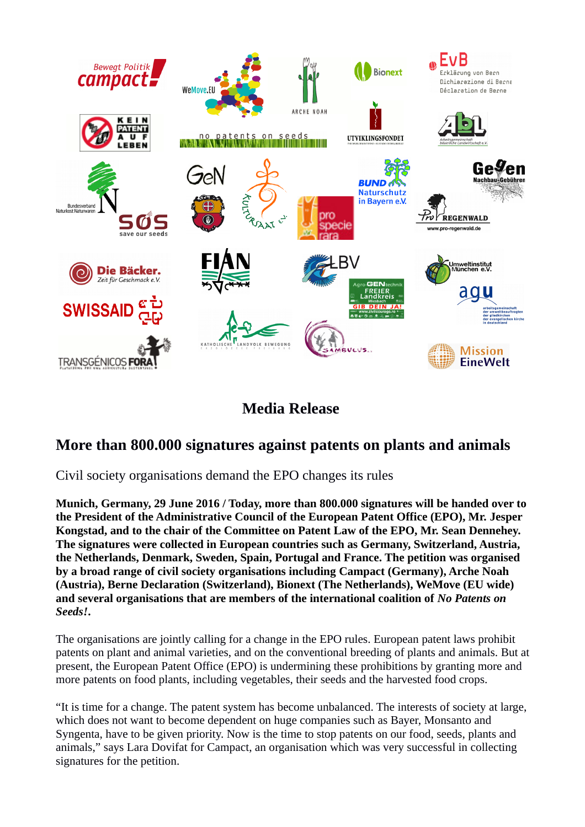

## **Media Release**

## **More than 800.000 signatures against patents on plants and animals**

Civil society organisations demand the EPO changes its rules

**Munich, Germany, 29 June 2016 / Today, more than 800.000 signatures will be handed over to the President of the Administrative Council of the European Patent Office (EPO), Mr. Jesper Kongstad, and to the chair of the Committee on Patent Law of the EPO, Mr. Sean Dennehey. The signatures were collected in European countries such as Germany, Switzerland, Austria, the Netherlands, Denmark, Sweden, Spain, Portugal and France. The petition was organised by a broad range of civil society organisations including Campact (Germany), Arche Noah (Austria), Berne Declaration (Switzerland), Bionext (The Netherlands), WeMove (EU wide) and several organisations that are members of the international coalition of** *No Patents on Seeds!***.** 

The organisations are jointly calling for a change in the EPO rules. European patent laws prohibit patents on plant and animal varieties, and on the conventional breeding of plants and animals. But at present, the European Patent Office (EPO) is undermining these prohibitions by granting more and more patents on food plants, including vegetables, their seeds and the harvested food crops.

"It is time for a change. The patent system has become unbalanced. The interests of society at large, which does not want to become dependent on huge companies such as Bayer, Monsanto and Syngenta, have to be given priority. Now is the time to stop patents on our food, seeds, plants and animals," says Lara Dovifat for Campact, an organisation which was very successful in collecting signatures for the petition.